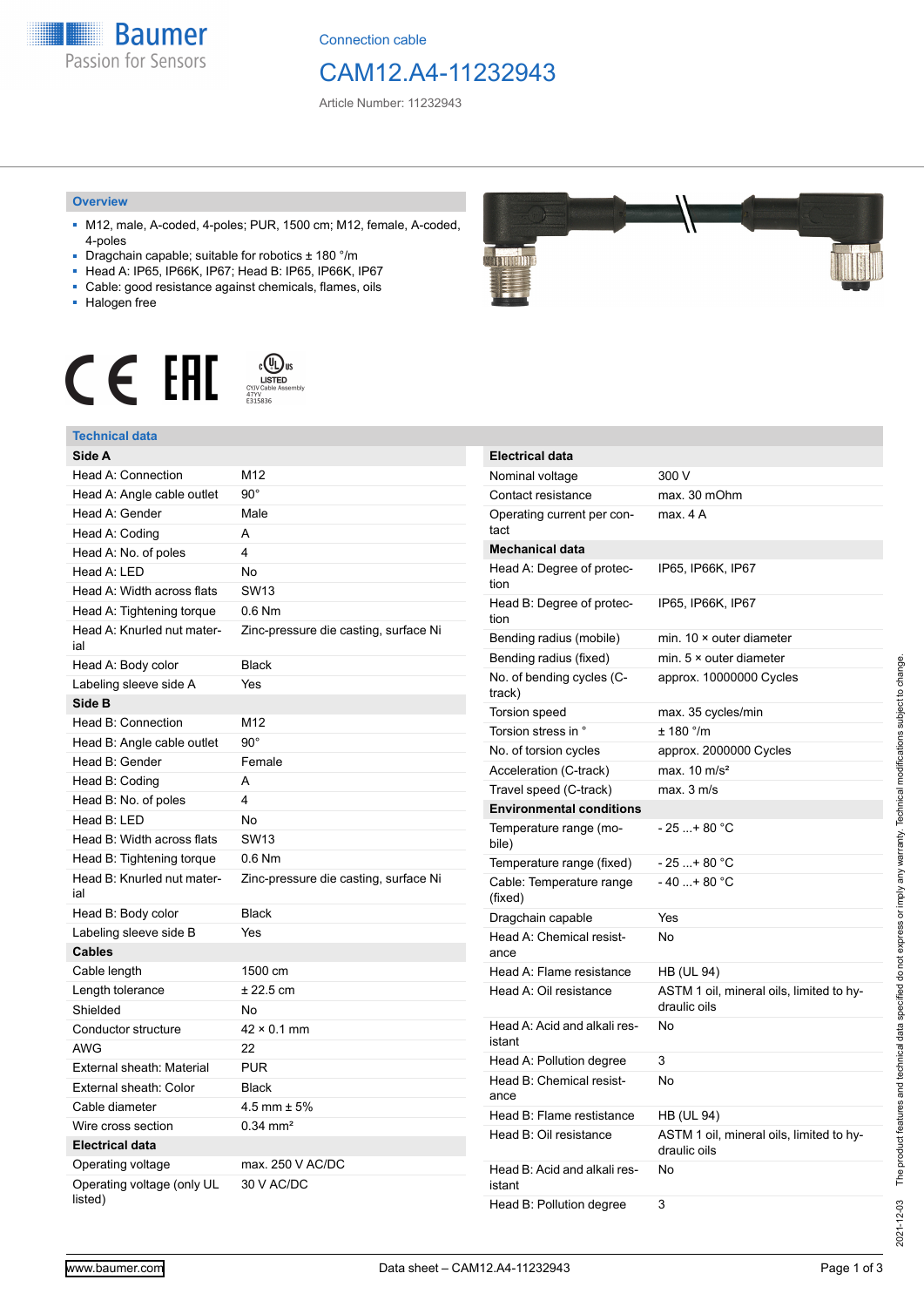**Baumer** Passion for Sensors

Connection cable

# CAM12.A4-11232943

Article Number: 11232943

#### **Overview**

- M12, male, A-coded, 4-poles; PUR, 1500 cm; M12, female, A-coded, 4-poles
- Dragchain capable; suitable for robotics ± 180 °/m
- Head A: IP65, IP66K, IP67; Head B: IP65, IP66K, IP67 ■ Cable: good resistance against chemicals, flames, oils
- 
- Halogen free



## **Technical data**

| Technical uald                        |                                       |
|---------------------------------------|---------------------------------------|
| Side A                                |                                       |
| Head A: Connection                    | M12                                   |
| Head A: Angle cable outlet            | $90^{\circ}$                          |
| Head A: Gender                        | Male                                  |
| Head A: Coding                        | A                                     |
| Head A: No. of poles                  | 4                                     |
| Head A: LED                           | N <sub>o</sub>                        |
| Head A: Width across flats            | <b>SW13</b>                           |
| Head A: Tightening torque             | $0.6$ Nm                              |
| Head A: Knurled nut mater-<br>ial     | Zinc-pressure die casting, surface Ni |
| Head A: Body color                    | <b>Black</b>                          |
| Labeling sleeve side A                | Yes                                   |
| Side B                                |                                       |
| Head B: Connection                    | M12                                   |
| Head B: Angle cable outlet            | $90^\circ$                            |
| Head B: Gender                        | Female                                |
| Head B: Coding                        | A                                     |
| Head B: No. of poles                  | 4                                     |
| Head B: LED                           | No                                    |
| Head B: Width across flats            | <b>SW13</b>                           |
| Head B: Tightening torque             | $0.6$ Nm                              |
| Head B: Knurled nut mater-<br>ial     | Zinc-pressure die casting, surface Ni |
| Head B: Body color                    | <b>Black</b>                          |
| Labeling sleeve side B                | Yes                                   |
| <b>Cables</b>                         |                                       |
| Cable length                          | 1500 cm                               |
| Length tolerance                      | $± 22.5$ cm                           |
| Shielded                              | No                                    |
| Conductor structure                   | $42 \times 0.1$ mm                    |
| AWG                                   | 22                                    |
| External sheath: Material             | <b>PUR</b>                            |
| External sheath: Color                | <b>Black</b>                          |
| Cable diameter                        | $4.5$ mm $\pm 5%$                     |
| Wire cross section                    | $0.34 \text{ mm}^2$                   |
| <b>Electrical data</b>                |                                       |
| Operating voltage                     | max. 250 V AC/DC                      |
| Operating voltage (only UL<br>listed) | 30 V AC/DC                            |



| <b>Electrical data</b>                 |                                                          |
|----------------------------------------|----------------------------------------------------------|
| Nominal voltage                        | 300 V                                                    |
| Contact resistance                     | max. 30 mOhm                                             |
| Operating current per con-<br>tact     | max. 4 A                                                 |
| <b>Mechanical data</b>                 |                                                          |
| Head A: Degree of protec-<br>tion      | IP65, IP66K, IP67                                        |
| Head B: Degree of protec-<br>tion      | IP65, IP66K, IP67                                        |
| Bending radius (mobile)                | min. $10 \times$ outer diameter                          |
| Bending radius (fixed)                 | min. $5 \times$ outer diameter                           |
| No. of bending cycles (C-<br>track)    | approx. 10000000 Cycles                                  |
| Torsion speed                          | max. 35 cycles/min                                       |
| Torsion stress in °                    | ± 180 °/m                                                |
| No. of torsion cycles                  | approx. 2000000 Cycles                                   |
| Acceleration (C-track)                 | max. $10 \text{ m/s}^2$                                  |
| Travel speed (C-track)                 | max. 3 m/s                                               |
| <b>Environmental conditions</b>        |                                                          |
| Temperature range (mo-<br>bile)        | - 25 + 80 °C                                             |
| Temperature range (fixed)              | - 25 + 80 °C                                             |
| Cable: Temperature range<br>(fixed)    | - 40 + 80 °C                                             |
| Dragchain capable                      | Yes                                                      |
| Head A: Chemical resist-<br>ance       | No                                                       |
| Head A: Flame resistance               | <b>HB (UL 94)</b>                                        |
| Head A: Oil resistance                 | ASTM 1 oil, mineral oils, limited to hy-<br>draulic oils |
| Head A: Acid and alkali res-<br>istant | No                                                       |
| Head A: Pollution degree               | 3                                                        |
| Head B: Chemical resist-<br>ance       | No                                                       |
| Head B: Flame restistance              | HB (UL 94)                                               |
| Head B: Oil resistance                 | ASTM 1 oil, mineral oils, limited to hy-<br>draulic oils |
| Head B: Acid and alkali res-<br>istant | No                                                       |
| Head B: Pollution degree               | 3                                                        |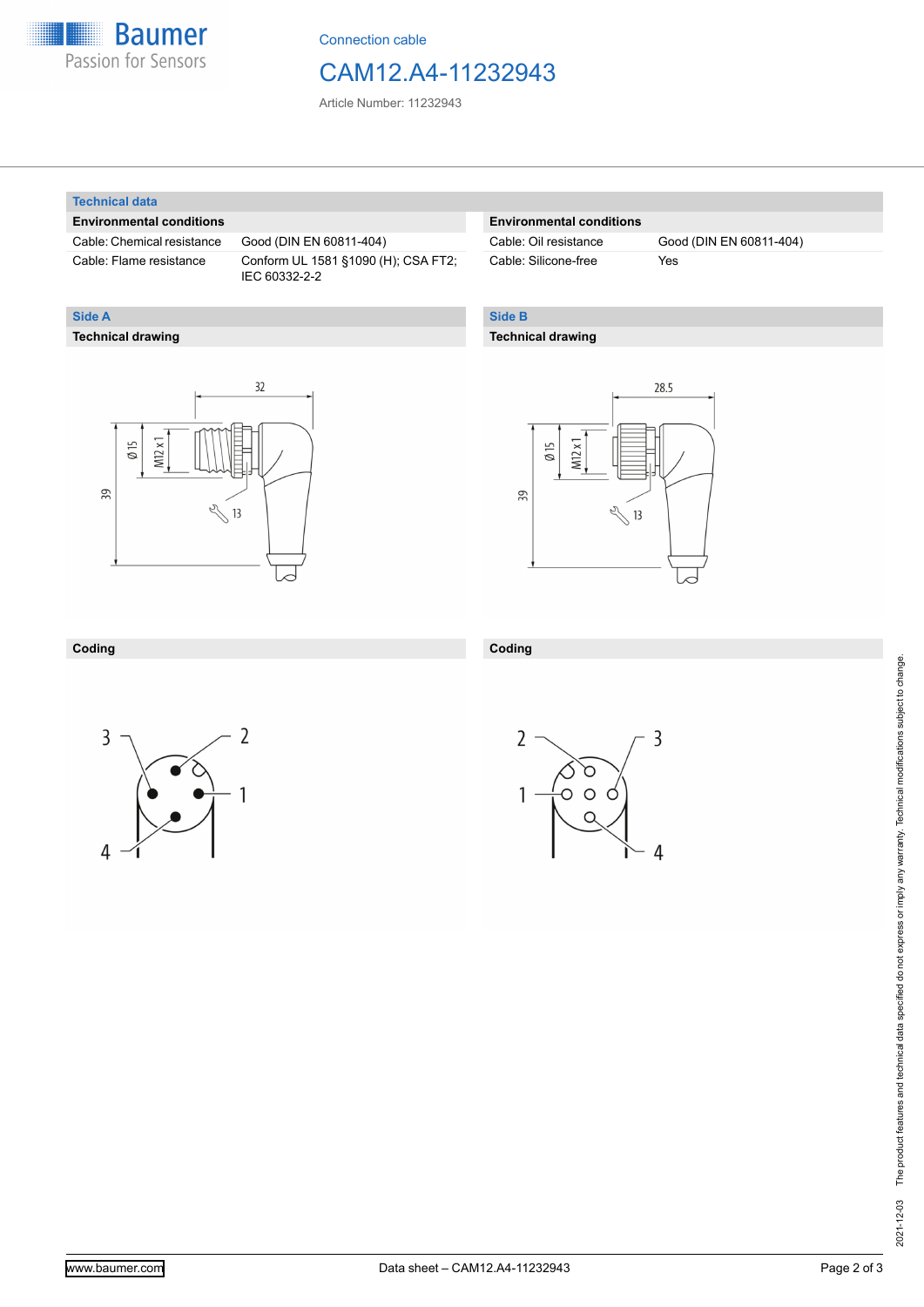

Connection cable

## CAM12.A4-11232943

Article Number: 11232943

#### **Technical data**

**Technical drawing**

**Side A**

#### **Environmental conditions**

Cable: Chemical resistance Good (DIN EN 60811-404)

Cable: Flame resistance Conform UL 1581 §1090 (H); CSA FT2; IEC 60332-2-2

### **Environmental conditions**

Cable: Silicone-free Yes

Cable: Oil resistance Good (DIN EN 60811-404)

## **Side B**

## **Technical drawing**





#### **Coding**



**Coding**